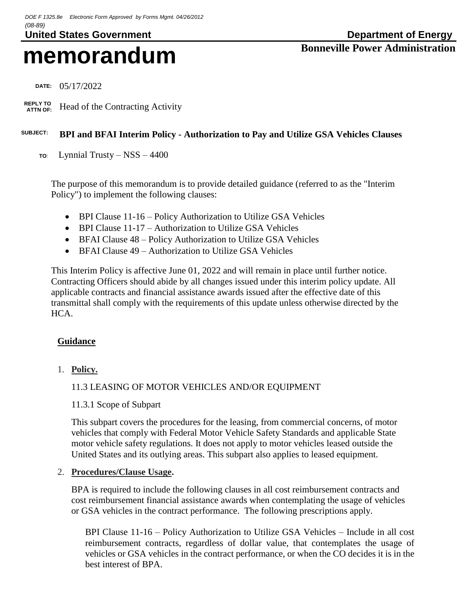# **memorandum Bonneville Power Administration**

 **DATE:** 05/17/2022

 **REPLY TO** Head of the Contracting Activity

# **SUBJECT: BPI and BFAI Interim Policy - Authorization to Pay and Utilize GSA Vehicles Clauses**

**TO**: Lynnial Trusty – NSS – 4400

The purpose of this memorandum is to provide detailed guidance (referred to as the "Interim Policy") to implement the following clauses:

- BPI Clause 11-16 Policy Authorization to Utilize GSA Vehicles
- BPI Clause 11-17 Authorization to Utilize GSA Vehicles
- BFAI Clause 48 Policy Authorization to Utilize GSA Vehicles
- BFAI Clause 49 Authorization to Utilize GSA Vehicles

This Interim Policy is affective June 01, 2022 and will remain in place until further notice. Contracting Officers should abide by all changes issued under this interim policy update. All applicable contracts and financial assistance awards issued after the effective date of this transmittal shall comply with the requirements of this update unless otherwise directed by the HCA.

## **Guidance**

1. **Policy.**

## 11.3 LEASING OF MOTOR VEHICLES AND/OR EQUIPMENT

11.3.1 Scope of Subpart

This subpart covers the procedures for the leasing, from commercial concerns, of motor vehicles that comply with Federal Motor Vehicle Safety Standards and applicable State motor vehicle safety regulations. It does not apply to motor vehicles leased outside the United States and its outlying areas. This subpart also applies to leased equipment.

#### 2. **Procedures/Clause Usage.**

BPA is required to include the following clauses in all cost reimbursement contracts and cost reimbursement financial assistance awards when contemplating the usage of vehicles or GSA vehicles in the contract performance. The following prescriptions apply.

BPI Clause 11-16 – Policy Authorization to Utilize GSA Vehicles – Include in all cost reimbursement contracts, regardless of dollar value, that contemplates the usage of vehicles or GSA vehicles in the contract performance, or when the CO decides it is in the best interest of BPA.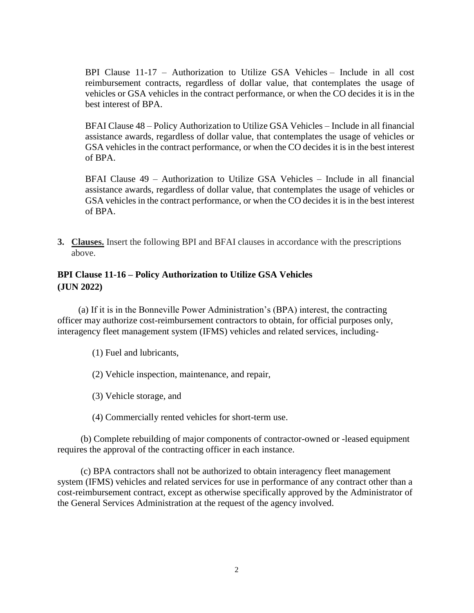BPI Clause 11-17 – Authorization to Utilize GSA Vehicles – Include in all cost reimbursement contracts, regardless of dollar value, that contemplates the usage of vehicles or GSA vehicles in the contract performance, or when the CO decides it is in the best interest of BPA.

BFAI Clause 48 – Policy Authorization to Utilize GSA Vehicles – Include in all financial assistance awards, regardless of dollar value, that contemplates the usage of vehicles or GSA vehicles in the contract performance, or when the CO decides it is in the best interest of BPA.

BFAI Clause 49 – Authorization to Utilize GSA Vehicles – Include in all financial assistance awards, regardless of dollar value, that contemplates the usage of vehicles or GSA vehicles in the contract performance, or when the CO decides it is in the best interest of BPA.

**3. Clauses.** Insert the following BPI and BFAI clauses in accordance with the prescriptions above.

# **BPI Clause 11-16 – Policy Authorization to Utilize GSA Vehicles (JUN 2022)**

 (a) If it is in the Bonneville Power Administration's (BPA) interest, the contracting officer may authorize cost-reimbursement contractors to obtain, for official purposes only, interagency fleet management system (IFMS) vehicles and related services, including-

- (1) Fuel and lubricants,
- (2) Vehicle inspection, maintenance, and repair,
- (3) Vehicle storage, and
- (4) Commercially rented vehicles for short-term use.

 (b) Complete rebuilding of major components of contractor-owned or -leased equipment requires the approval of the contracting officer in each instance.

 (c) BPA contractors shall not be authorized to obtain interagency fleet management system (IFMS) vehicles and related services for use in performance of any contract other than a cost-reimbursement contract, except as otherwise specifically approved by the Administrator of the General Services Administration at the request of the agency involved.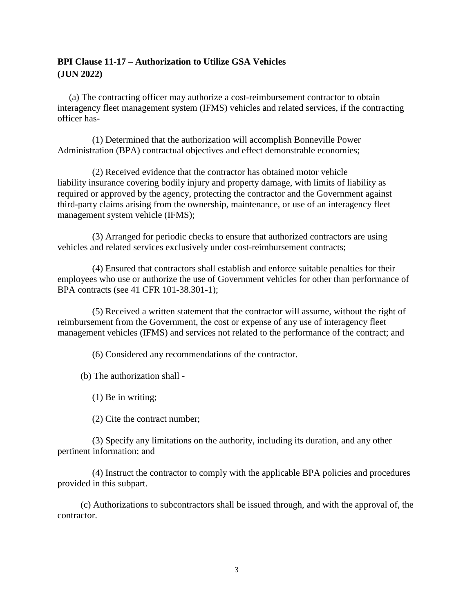# **BPI Clause 11-17 – Authorization to Utilize GSA Vehicles (JUN 2022)**

(a) The contracting officer may authorize a cost-reimbursement contractor to obtain interagency fleet management system (IFMS) vehicles and related services, if the contracting officer has-

 (1) Determined that the authorization will accomplish Bonneville Power Administration (BPA) contractual objectives and effect demonstrable economies;

 (2) Received evidence that the contractor has obtained motor vehicle liability insurance covering bodily injury and property damage, with limits of liability as required or approved by the agency, protecting the contractor and the Government against third-party claims arising from the ownership, maintenance, or use of an interagency fleet management system vehicle (IFMS);

 (3) Arranged for periodic checks to ensure that authorized contractors are using vehicles and related services exclusively under cost-reimbursement contracts;

 (4) Ensured that contractors shall establish and enforce suitable penalties for their employees who use or authorize the use of Government vehicles for other than performance of BPA contracts (see 41 CFR 101-38.301-1);

 (5) Received a written statement that the contractor will assume, without the right of reimbursement from the Government, the cost or expense of any use of interagency fleet management vehicles (IFMS) and services not related to the performance of the contract; and

(6) Considered any recommendations of the contractor.

(b) The authorization shall -

(1) Be in writing;

(2) Cite the contract number;

 (3) Specify any limitations on the authority, including its duration, and any other pertinent information; and

 (4) Instruct the contractor to comply with the applicable BPA policies and procedures provided in this subpart.

 (c) Authorizations to subcontractors shall be issued through, and with the approval of, the contractor.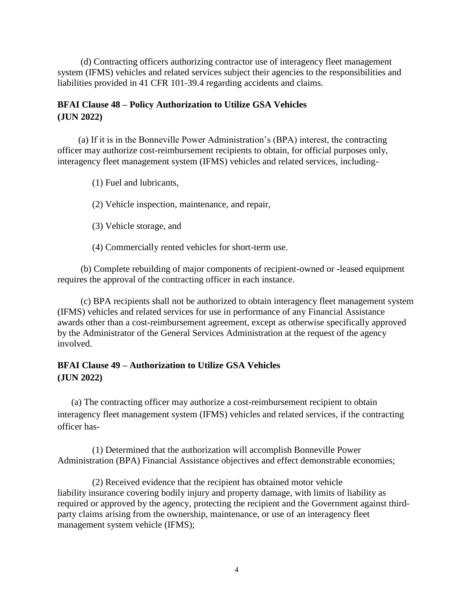(d) Contracting officers authorizing contractor use of interagency fleet management system (IFMS) vehicles and related services subject their agencies to the responsibilities and liabilities provided in 41 CFR 101-39.4 regarding accidents and claims.

## **BFAI Clause 48 – Policy Authorization to Utilize GSA Vehicles (JUN 2022)**

 (a) If it is in the Bonneville Power Administration's (BPA) interest, the contracting officer may authorize cost-reimbursement recipients to obtain, for official purposes only, interagency fleet management system (IFMS) vehicles and related services, including-

(1) Fuel and lubricants,

(2) Vehicle inspection, maintenance, and repair,

(3) Vehicle storage, and

(4) Commercially rented vehicles for short-term use.

 (b) Complete rebuilding of major components of recipient-owned or -leased equipment requires the approval of the contracting officer in each instance.

 (c) BPA recipients shall not be authorized to obtain interagency fleet management system (IFMS) vehicles and related services for use in performance of any Financial Assistance awards other than a cost-reimbursement agreement, except as otherwise specifically approved by the Administrator of the General Services Administration at the request of the agency involved.

## **BFAI Clause 49 – Authorization to Utilize GSA Vehicles (JUN 2022)**

 (a) The contracting officer may authorize a cost-reimbursement recipient to obtain interagency fleet management system (IFMS) vehicles and related services, if the contracting officer has-

 (1) Determined that the authorization will accomplish Bonneville Power Administration (BPA) Financial Assistance objectives and effect demonstrable economies;

 (2) Received evidence that the recipient has obtained motor vehicle liability insurance covering bodily injury and property damage, with limits of liability as required or approved by the agency, protecting the recipient and the Government against thirdparty claims arising from the ownership, maintenance, or use of an interagency fleet management system vehicle (IFMS);